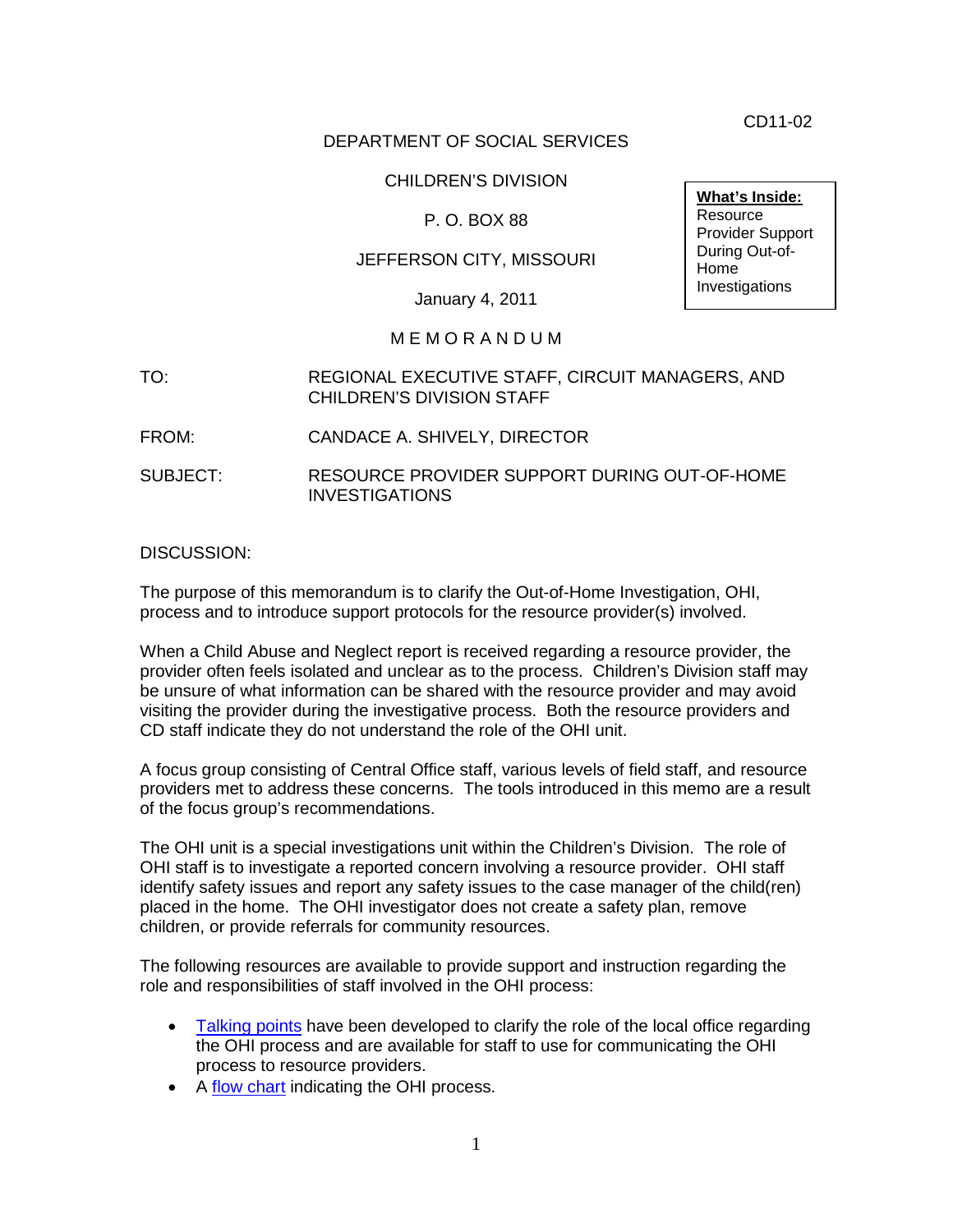CD11-02

### DEPARTMENT OF SOCIAL SERVICES

### CHILDREN'S DIVISION

### P. O. BOX 88

### JEFFERSON CITY, MISSOURI

January 4, 2011

### M E M O R A N D U M

- TO: REGIONAL EXECUTIVE STAFF, CIRCUIT MANAGERS, AND CHILDREN'S DIVISION STAFF
- FROM: CANDACE A. SHIVELY, DIRECTOR
- SUBJECT: RESOURCE PROVIDER SUPPORT DURING OUT-OF-HOME INVESTIGATIONS

### DISCUSSION:

The purpose of this memorandum is to clarify the Out-of-Home Investigation, OHI, process and to introduce support protocols for the resource provider(s) involved.

When a Child Abuse and Neglect report is received regarding a resource provider, the provider often feels isolated and unclear as to the process. Children's Division staff may be unsure of what information can be shared with the resource provider and may avoid visiting the provider during the investigative process. Both the resource providers and CD staff indicate they do not understand the role of the OHI unit.

A focus group consisting of Central Office staff, various levels of field staff, and resource providers met to address these concerns. The tools introduced in this memo are a result of the focus group's recommendations.

The OHI unit is a special investigations unit within the Children's Division. The role of OHI staff is to investigate a reported concern involving a resource provider. OHI staff identify safety issues and report any safety issues to the case manager of the child(ren) placed in the home. The OHI investigator does not create a safety plan, remove children, or provide referrals for community resources.

The following resources are available to provide support and instruction regarding the role and responsibilities of staff involved in the OHI process:

- [Talking points](http://www.dss.mo.gov/cd/info/forms/index.htm) have been developed to clarify the role of the local office regarding the OHI process and are available for staff to use for communicating the OHI process to resource providers.
- A [flow chart](http://www.dss.mo.gov/cd/info/forms/index.htm) indicating the OHI process.

**What's Inside: Resource** Provider Support During Out-of-Home Investigations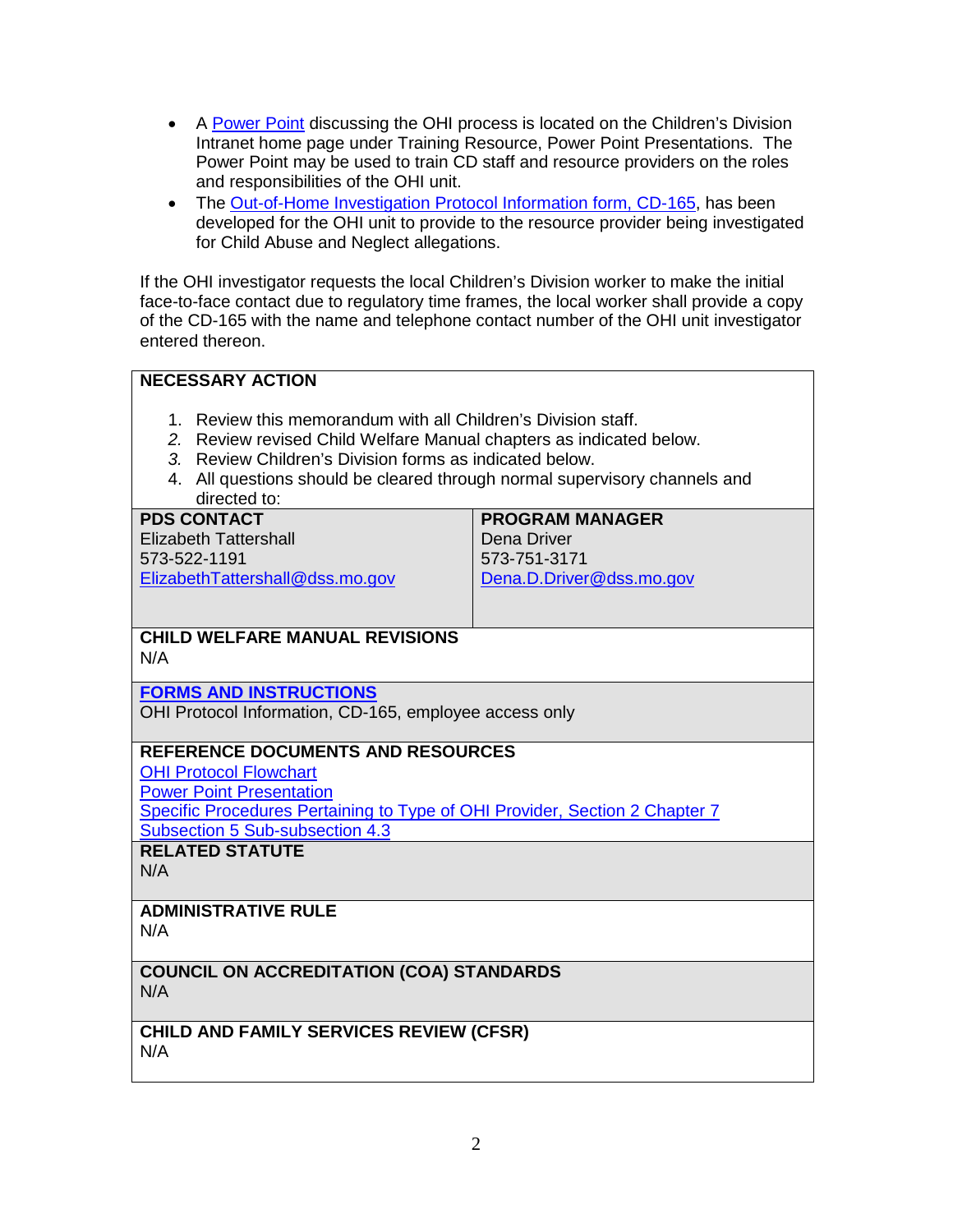- A [Power Point](http://dssweb/cs/training/resources/ppindex.htm) discussing the OHI process is located on the Children's Division Intranet home page under Training Resource, Power Point Presentations. The Power Point may be used to train CD staff and resource providers on the roles and responsibilities of the OHI unit.
- The [Out-of-Home Investigation Protocol Information](http://www.dss.mo.gov/cd/info/forms/index.htm) form, CD-165, has been developed for the OHI unit to provide to the resource provider being investigated for Child Abuse and Neglect allegations.

If the OHI investigator requests the local Children's Division worker to make the initial face-to-face contact due to regulatory time frames, the local worker shall provide a copy of the CD-165 with the name and telephone contact number of the OHI unit investigator entered thereon.

## **NECESSARY ACTION**

- 1. Review this memorandum with all Children's Division staff.
- *2.* Review revised Child Welfare Manual chapters as indicated below.
- *3.* Review Children's Division forms as indicated below.
- 4. All questions should be cleared through normal supervisory channels and directed to:

#### **PDS CONTACT** Elizabeth Tattershall 573-522-1191 [ElizabethTattershall@dss.mo.gov](mailto:ElizabethTattershall@dss.mo.gov) **PROGRAM MANAGER** Dena Driver 573-751-3171 [Dena.D.Driver@dss.mo.gov](mailto:Dena.D.Driver@dss.mo.gov)

### **CHILD WELFARE MANUAL REVISIONS** N/A

**[FORMS AND INSTRUCTIONS](http://www.dss.mo.gov/cd/info/forms/index.htm)**

OHI Protocol Information, CD-165, employee access only

## **REFERENCE DOCUMENTS AND RESOURCES**

[OHI Protocol Flowchart](http://www.dss.mo.gov/cd/info/forms/index.htm)

[Power Point Presentation](http://dssweb/cs/training/resources/ppindex.htm)

[Specific Procedures Pertaining to Type of OHI Provider,](http://www.dss.mo.gov/cd/info/cwmanual/section2/ch7/sec2ch7sub5_4_3.htm) Section 2 Chapter 7 [Subsection 5 Sub-subsection 4.3](http://www.dss.mo.gov/cd/info/cwmanual/section2/ch7/sec2ch7sub5_4_3.htm)

**RELATED STATUTE**

N/A

## **ADMINISTRATIVE RULE**

N/A

### **COUNCIL ON ACCREDITATION (COA) STANDARDS** N/A

**CHILD AND FAMILY SERVICES REVIEW (CFSR)** N/A